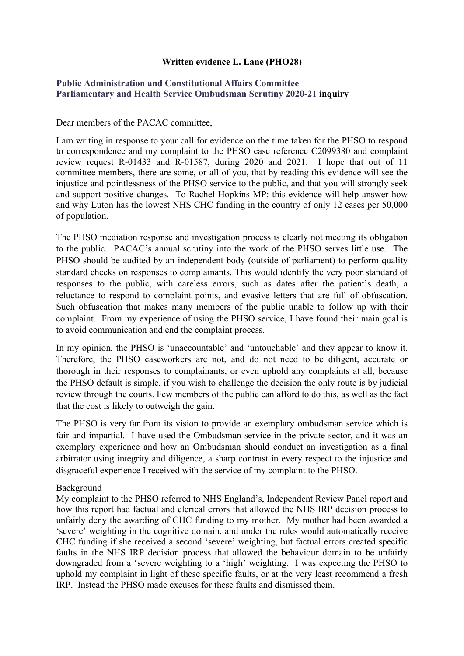### **Written evidence L. Lane (PHO28)**

### **[Public](https://admin.committees.parliament.uk/Committee/Edit/327) [Administration](https://admin.committees.parliament.uk/Committee/Edit/327) [and](https://admin.committees.parliament.uk/Committee/Edit/327) [Constitutional](https://admin.committees.parliament.uk/Committee/Edit/327) [Affairs](https://admin.committees.parliament.uk/Committee/Edit/327) [Committee](https://admin.committees.parliament.uk/Committee/Edit/327) [Parliamentary](https://admin.committees.parliament.uk/Committee/327/CommitteeBusiness/Edit/1503) [and](https://admin.committees.parliament.uk/Committee/327/CommitteeBusiness/Edit/1503) [Health](https://admin.committees.parliament.uk/Committee/327/CommitteeBusiness/Edit/1503) [Service](https://admin.committees.parliament.uk/Committee/327/CommitteeBusiness/Edit/1503) [Ombudsman](https://admin.committees.parliament.uk/Committee/327/CommitteeBusiness/Edit/1503) [Scrutiny](https://admin.committees.parliament.uk/Committee/327/CommitteeBusiness/Edit/1503) [2020-21](https://admin.committees.parliament.uk/Committee/327/CommitteeBusiness/Edit/1503) inquiry**

Dear members of the PACAC committee,

I am writing in response to your call for evidence on the time taken for the PHSO to respond to correspondence and my complaint to the PHSO case reference C2099380 and complaint review request R-01433 and R-01587, during 2020 and 2021. I hope that out of 11 committee members, there are some, or all of you, that by reading this evidence will see the injustice and pointlessness of the PHSO service to the public, and that you will strongly seek and support positive changes. To Rachel Hopkins MP: this evidence will help answer how and why Luton has the lowest NHS CHC funding in the country of only 12 cases per 50,000 of population.

The PHSO mediation response and investigation process is clearly not meeting its obligation to the public. PACAC's annual scrutiny into the work of the PHSO serves little use. The PHSO should be audited by an independent body (outside of parliament) to perform quality standard checks on responses to complainants. This would identify the very poor standard of responses to the public, with careless errors, such as dates after the patient's death, a reluctance to respond to complaint points, and evasive letters that are full of obfuscation. Such obfuscation that makes many members of the public unable to follow up with their complaint. From my experience of using the PHSO service, I have found their main goal is to avoid communication and end the complaint process.

In my opinion, the PHSO is 'unaccountable' and 'untouchable' and they appear to know it. Therefore, the PHSO caseworkers are not, and do not need to be diligent, accurate or thorough in their responses to complainants, or even uphold any complaints at all, because the PHSO default is simple, if you wish to challenge the decision the only route is by judicial review through the courts. Few members of the public can afford to do this, as well as the fact that the cost is likely to outweigh the gain.

The PHSO is very far from its vision to provide an exemplary ombudsman service which is fair and impartial. I have used the Ombudsman service in the private sector, and it was an exemplary experience and how an Ombudsman should conduct an investigation as a final arbitrator using integrity and diligence, a sharp contrast in every respect to the injustice and disgraceful experience I received with the service of my complaint to the PHSO.

#### Background

My complaint to the PHSO referred to NHS England's, Independent Review Panel report and how this report had factual and clerical errors that allowed the NHS IRP decision process to unfairly deny the awarding of CHC funding to my mother. My mother had been awarded a 'severe' weighting in the cognitive domain, and under the rules would automatically receive CHC funding if she received a second 'severe' weighting, but factual errors created specific faults in the NHS IRP decision process that allowed the behaviour domain to be unfairly downgraded from a 'severe weighting to a 'high' weighting. I was expecting the PHSO to uphold my complaint in light of these specific faults, or at the very least recommend a fresh IRP. Instead the PHSO made excuses for these faults and dismissed them.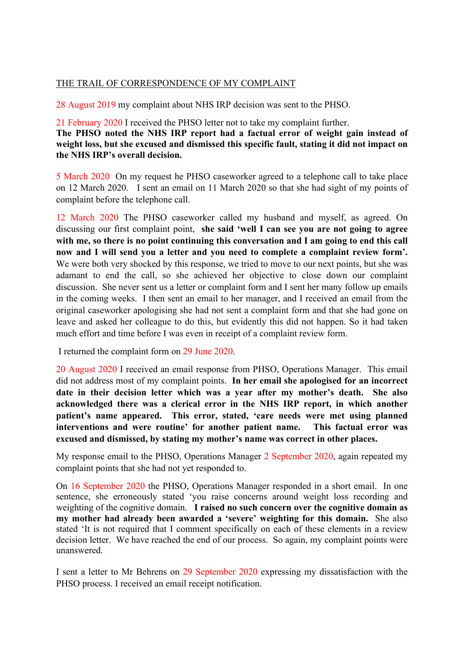### THE TRAIL OF CORRESPONDENCE OF MY COMPLAINT

28 August 2019 my complaint about NHS IRP decision was sent to the PHSO.

21 February 2020 I received the PHSO letter not to take my complaint further.

**The PHSO noted the NHS IRP report had a factual error of weight gain instead of weight loss, but she excused and dismissed this specific fault, stating it did not impact on the NHS IRP's overall decision.**

5 March 2020 On my request he PHSO caseworker agreed to a telephone call to take place on 12 March 2020. I sent an email on 11 March 2020 so that she had sight of my points of complaint before the telephone call.

12 March 2020 The PHSO caseworker called my husband and myself, as agreed. On discussing our first complaint point, **she said 'well I can see you are not going to agree with me, so there is no point continuing this conversation and I am going to end this call now and I will send you a letter and you need to complete a complaint review form'.** We were both very shocked by this response, we tried to move to our next points, but she was adamant to end the call, so she achieved her objective to close down our complaint discussion. She never sent us a letter or complaint form and I sent her many follow up emails in the coming weeks. I then sent an email to her manager, and I received an email from the original caseworker apologising she had not sent a complaint form and that she had gone on leave and asked her colleague to do this, but evidently this did not happen. So it had taken much effort and time before I was even in receipt of a complaint review form.

I returned the complaint form on 29 June 2020.

20 August 2020 I received an email response from PHSO, Operations Manager. This email did not address most of my complaint points. **In her email she apologised for an incorrect date in their decision letter which was a year after my mother's death. She also acknowledged there was a clerical error in the NHS IRP report, in which another patient's name appeared. This error, stated, 'care needs were met using planned interventions and were routine' for another patient name. This factual error was excused and dismissed, by stating my mother's name was correct in other places.** 

My response email to the PHSO, Operations Manager 2 September 2020, again repeated my complaint points that she had not yet responded to.

On 16 September 2020 the PHSO, Operations Manager responded in a short email. In one sentence, she erroneously stated 'you raise concerns around weight loss recording and weighting of the cognitive domain. **I raised no such concern over the cognitive domain as my mother had already been awarded a 'severe' weighting for this domain.** She also stated 'It is not required that I comment specifically on each of these elements in a review decision letter. We have reached the end of our process. So again, my complaint points were unanswered.

I sent a letter to Mr Behrens on 29 September 2020 expressing my dissatisfaction with the PHSO process. I received an email receipt notification.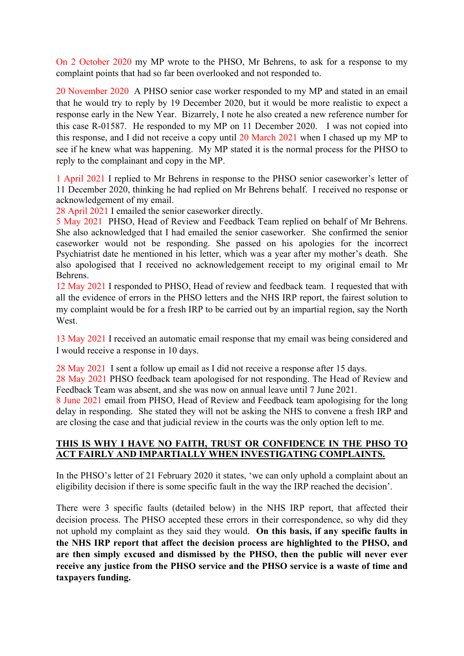On 2 October 2020 my MP wrote to the PHSO, Mr Behrens, to ask for a response to my complaint points that had so far been overlooked and not responded to.

20 November 2020 A PHSO senior case worker responded to my MP and stated in an email that he would try to reply by 19 December 2020, but it would be more realistic to expect a response early in the New Year. Bizarrely, I note he also created a new reference number for this case R-01587. He responded to my MP on 11 December 2020. I was not copied into this response, and I did not receive a copy until 20 March 2021 when I chased up my MP to see if he knew what was happening. My MP stated it is the normal process for the PHSO to reply to the complainant and copy in the MP.

1 April 2021 I replied to Mr Behrens in response to the PHSO senior caseworker's letter of 11 December 2020, thinking he had replied on Mr Behrens behalf. I received no response or acknowledgement of my email.

28 April 2021 I emailed the senior caseworker directly.

5 May 2021 PHSO, Head of Review and Feedback Team replied on behalf of Mr Behrens. She also acknowledged that I had emailed the senior caseworker. She confirmed the senior caseworker would not be responding. She passed on his apologies for the incorrect Psychiatrist date he mentioned in his letter, which was a year after my mother's death. She also apologised that I received no acknowledgement receipt to my original email to Mr Behrens.

12 May 2021 I responded to PHSO, Head of review and feedback team. I requested that with all the evidence of errors in the PHSO letters and the NHS IRP report, the fairest solution to my complaint would be for a fresh IRP to be carried out by an impartial region, say the North **West**.

13 May 2021 I received an automatic email response that my email was being considered and I would receive a response in 10 days.

28 May 2021 I sent a follow up email as I did not receive a response after 15 days.

28 May 2021 PHSO feedback team apologised for not responding. The Head of Review and Feedback Team was absent, and she was now on annual leave until 7 June 2021.

8 June 2021 email from PHSO, Head of Review and Feedback team apologising for the long delay in responding. She stated they will not be asking the NHS to convene a fresh IRP and are closing the case and that judicial review in the courts was the only option left to me.

## **THIS IS WHY I HAVE NO FAITH, TRUST OR CONFIDENCE IN THE PHSO TO ACT FAIRLY AND IMPARTIALLY WHEN INVESTIGATING COMPLAINTS.**

In the PHSO's letter of 21 February 2020 it states, 'we can only uphold a complaint about an eligibility decision if there is some specific fault in the way the IRP reached the decision'.

There were 3 specific faults (detailed below) in the NHS IRP report, that affected their decision process. The PHSO accepted these errors in their correspondence, so why did they not uphold my complaint as they said they would. **On this basis, if any specific faults in the NHS IRP report that affect the decision process are highlighted to the PHSO, and are then simply excused and dismissed by the PHSO, then the public will never ever receive any justice from the PHSO service and the PHSO service is a waste of time and taxpayers funding.**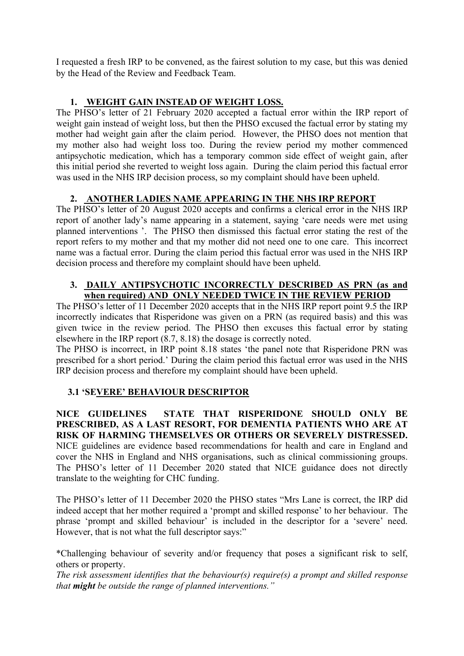I requested a fresh IRP to be convened, as the fairest solution to my case, but this was denied by the Head of the Review and Feedback Team.

## **1. WEIGHT GAIN INSTEAD OF WEIGHT LOSS.**

The PHSO's letter of 21 February 2020 accepted a factual error within the IRP report of weight gain instead of weight loss, but then the PHSO excused the factual error by stating my mother had weight gain after the claim period. However, the PHSO does not mention that my mother also had weight loss too. During the review period my mother commenced antipsychotic medication, which has a temporary common side effect of weight gain, after this initial period she reverted to weight loss again. During the claim period this factual error was used in the NHS IRP decision process, so my complaint should have been upheld.

# **2. ANOTHER LADIES NAME APPEARING IN THE NHS IRP REPORT**

The PHSO's letter of 20 August 2020 accepts and confirms a clerical error in the NHS IRP report of another lady's name appearing in a statement, saying 'care needs were met using planned interventions '. The PHSO then dismissed this factual error stating the rest of the report refers to my mother and that my mother did not need one to one care. This incorrect name was a factual error. During the claim period this factual error was used in the NHS IRP decision process and therefore my complaint should have been upheld.

## **3. DAILY ANTIPSYCHOTIC INCORRECTLY DESCRIBED AS PRN (as and when required) AND ONLY NEEDED TWICE IN THE REVIEW PERIOD**

The PHSO's letter of 11 December 2020 accepts that in the NHS IRP report point 9.5 the IRP incorrectly indicates that Risperidone was given on a PRN (as required basis) and this was given twice in the review period. The PHSO then excuses this factual error by stating elsewhere in the IRP report (8.7, 8.18) the dosage is correctly noted.

The PHSO is incorrect, in IRP point 8.18 states 'the panel note that Risperidone PRN was prescribed for a short period.' During the claim period this factual error was used in the NHS IRP decision process and therefore my complaint should have been upheld.

## **3.1 'SEVERE' BEHAVIOUR DESCRIPTOR**

**NICE GUIDELINES STATE THAT RISPERIDONE SHOULD ONLY BE PRESCRIBED, AS A LAST RESORT, FOR DEMENTIA PATIENTS WHO ARE AT RISK OF HARMING THEMSELVES OR OTHERS OR SEVERELY DISTRESSED.** NICE guidelines are evidence based recommendations for health and care in England and cover the NHS in England and NHS organisations, such as clinical commissioning groups. The PHSO's letter of 11 December 2020 stated that NICE guidance does not directly translate to the weighting for CHC funding.

The PHSO's letter of 11 December 2020 the PHSO states "Mrs Lane is correct, the IRP did indeed accept that her mother required a 'prompt and skilled response' to her behaviour. The phrase 'prompt and skilled behaviour' is included in the descriptor for a 'severe' need. However, that is not what the full descriptor says:"

\*Challenging behaviour of severity and/or frequency that poses a significant risk to self, others or property.

*The risk assessment identifies that the behaviour(s) require(s) a prompt and skilled response that might be outside the range of planned interventions."*